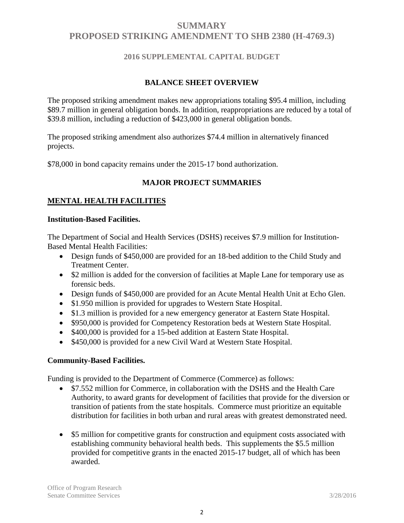## **2016 SUPPLEMENTAL CAPITAL BUDGET**

## **BALANCE SHEET OVERVIEW**

The proposed striking amendment makes new appropriations totaling \$95.4 million, including \$89.7 million in general obligation bonds. In addition, reappropriations are reduced by a total of \$39.8 million, including a reduction of \$423,000 in general obligation bonds.

The proposed striking amendment also authorizes \$74.4 million in alternatively financed projects.

\$78,000 in bond capacity remains under the 2015-17 bond authorization.

## **MAJOR PROJECT SUMMARIES**

## **MENTAL HEALTH FACILITIES**

#### **Institution-Based Facilities.**

The Department of Social and Health Services (DSHS) receives \$7.9 million for Institution-Based Mental Health Facilities:

- Design funds of \$450,000 are provided for an 18-bed addition to the Child Study and Treatment Center.
- \$2 million is added for the conversion of facilities at Maple Lane for temporary use as forensic beds.
- Design funds of \$450,000 are provided for an Acute Mental Health Unit at Echo Glen.
- \$1.950 million is provided for upgrades to Western State Hospital.
- \$1.3 million is provided for a new emergency generator at Eastern State Hospital.
- \$950,000 is provided for Competency Restoration beds at Western State Hospital.
- \$400,000 is provided for a 15-bed addition at Eastern State Hospital.
- \$450,000 is provided for a new Civil Ward at Western State Hospital.

## **Community-Based Facilities.**

Funding is provided to the Department of Commerce (Commerce) as follows:

- \$7.552 million for Commerce, in collaboration with the DSHS and the Health Care Authority, to award grants for development of facilities that provide for the diversion or transition of patients from the state hospitals. Commerce must prioritize an equitable distribution for facilities in both urban and rural areas with greatest demonstrated need.
- \$5 million for competitive grants for construction and equipment costs associated with establishing community behavioral health beds. This supplements the \$5.5 million provided for competitive grants in the enacted 2015-17 budget, all of which has been awarded.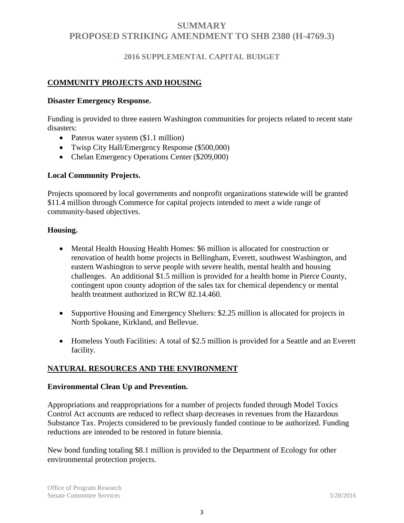## **2016 SUPPLEMENTAL CAPITAL BUDGET**

#### **COMMUNITY PROJECTS AND HOUSING**

#### **Disaster Emergency Response.**

Funding is provided to three eastern Washington communities for projects related to recent state disasters:

- Pateros water system (\$1.1 million)
- Twisp City Hall/Emergency Response (\$500,000)
- Chelan Emergency Operations Center (\$209,000)

#### **Local Community Projects.**

Projects sponsored by local governments and nonprofit organizations statewide will be granted \$11.4 million through Commerce for capital projects intended to meet a wide range of community-based objectives.

#### **Housing.**

- Mental Health Housing Health Homes: \$6 million is allocated for construction or renovation of health home projects in Bellingham, Everett, southwest Washington, and eastern Washington to serve people with severe health, mental health and housing challenges. An additional \$1.5 million is provided for a health home in Pierce County, contingent upon county adoption of the sales tax for chemical dependency or mental health treatment authorized in RCW 82.14.460.
- Supportive Housing and Emergency Shelters: \$2.25 million is allocated for projects in North Spokane, Kirkland, and Bellevue.
- Homeless Youth Facilities: A total of \$2.5 million is provided for a Seattle and an Everett facility.

#### **NATURAL RESOURCES AND THE ENVIRONMENT**

#### **Environmental Clean Up and Prevention.**

Appropriations and reappropriations for a number of projects funded through Model Toxics Control Act accounts are reduced to reflect sharp decreases in revenues from the Hazardous Substance Tax. Projects considered to be previously funded continue to be authorized. Funding reductions are intended to be restored in future biennia.

New bond funding totaling \$8.1 million is provided to the Department of Ecology for other environmental protection projects.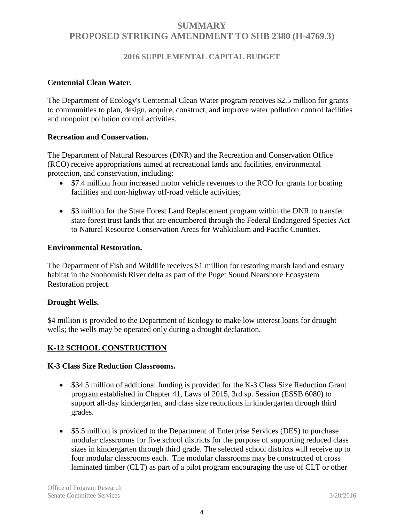## **2016 SUPPLEMENTAL CAPITAL BUDGET**

#### **Centennial Clean Water.**

The Department of Ecology's Centennial Clean Water program receives \$2.5 million for grants to communities to plan, design, acquire, construct, and improve water pollution control facilities and nonpoint pollution control activities.

#### **Recreation and Conservation.**

The Department of Natural Resources (DNR) and the Recreation and Conservation Office (RCO) receive appropriations aimed at recreational lands and facilities, environmental protection, and conservation, including:

- \$7.4 million from increased motor vehicle revenues to the RCO for grants for boating facilities and non-highway off-road vehicle activities;
- \$3 million for the State Forest Land Replacement program within the DNR to transfer state forest trust lands that are encumbered through the Federal Endangered Species Act to Natural Resource Conservation Areas for Wahkiakum and Pacific Counties.

#### **Environmental Restoration.**

The Department of Fish and Wildlife receives \$1 million for restoring marsh land and estuary habitat in the Snohomish River delta as part of the Puget Sound Nearshore Ecosystem Restoration project.

#### **Drought Wells.**

\$4 million is provided to the Department of Ecology to make low interest loans for drought wells; the wells may be operated only during a drought declaration.

## **K-12 SCHOOL CONSTRUCTION**

#### **K-3 Class Size Reduction Classrooms.**

- \$34.5 million of additional funding is provided for the K-3 Class Size Reduction Grant program established in Chapter 41, Laws of 2015, 3rd sp. Session (ESSB 6080) to support all-day kindergarten, and class size reductions in kindergarten through third grades.
- \$5.5 million is provided to the Department of Enterprise Services (DES) to purchase modular classrooms for five school districts for the purpose of supporting reduced class sizes in kindergarten through third grade. The selected school districts will receive up to four modular classrooms each. The modular classrooms may be constructed of cross laminated timber (CLT) as part of a pilot program encouraging the use of CLT or other